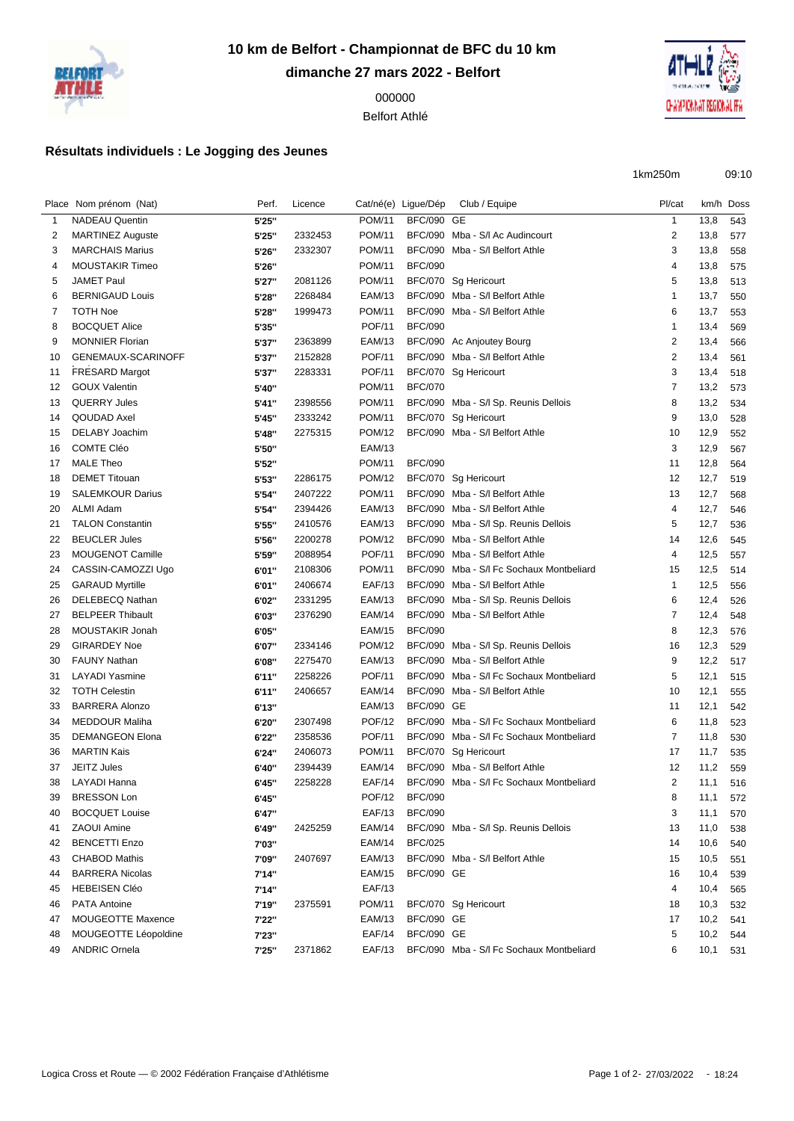

**10 km de Belfort - Championnat de BFC du 10 km dimanche 27 mars 2022 - Belfort**

> Belfort Athlé

## **Résultats individuels : Le Jogging des Jeunes**



1km250m 09:10

|              | Place Nom prénom (Nat)  | Perf. | Licence |               | Cat/né(e) Ligue/Dép | Club / Equipe                            | Pl/cat         |      | km/h Doss |
|--------------|-------------------------|-------|---------|---------------|---------------------|------------------------------------------|----------------|------|-----------|
| $\mathbf{1}$ | <b>NADEAU Quentin</b>   | 5'25" |         | <b>POM/11</b> | <b>BFC/090 GE</b>   |                                          | $\mathbf{1}$   | 13,8 | 543       |
| 2            | <b>MARTINEZ Auguste</b> | 5'25" | 2332453 | <b>POM/11</b> |                     | BFC/090 Mba - S/I Ac Audincourt          | $\overline{c}$ | 13,8 | 577       |
| 3            | <b>MARCHAIS Marius</b>  | 5'26" | 2332307 | <b>POM/11</b> |                     | BFC/090 Mba - S/I Belfort Athle          | 3              | 13,8 | 558       |
| 4            | <b>MOUSTAKIR Timeo</b>  | 5'26" |         | <b>POM/11</b> | <b>BFC/090</b>      |                                          | 4              | 13,8 | 575       |
| 5            | <b>JAMET Paul</b>       | 5'27" | 2081126 | <b>POM/11</b> |                     | BFC/070 Sg Hericourt                     | 5              | 13,8 | 513       |
| 6            | <b>BERNIGAUD Louis</b>  | 5'28" | 2268484 | EAM/13        |                     | BFC/090 Mba - S/I Belfort Athle          | $\mathbf{1}$   | 13,7 | 550       |
| 7            | <b>TOTH Noe</b>         | 5'28" | 1999473 | POM/11        |                     | BFC/090 Mba - S/I Belfort Athle          | 6              | 13,7 | 553       |
| 8            | <b>BOCQUET Alice</b>    | 5'35" |         | <b>POF/11</b> | <b>BFC/090</b>      |                                          | $\mathbf{1}$   | 13,4 | 569       |
| 9            | <b>MONNIER Florian</b>  | 5'37" | 2363899 | EAM/13        |                     | BFC/090 Ac Anjoutey Bourg                | 2              | 13,4 | 566       |
| 10           | GENEMAUX-SCARINOFF      | 5'37" | 2152828 | <b>POF/11</b> |                     | BFC/090 Mba - S/I Belfort Athle          | 2              | 13,4 | 561       |
| 11           | <b>FRESARD Margot</b>   | 5'37" | 2283331 | <b>POF/11</b> |                     | BFC/070 Sg Hericourt                     | 3              | 13,4 | 518       |
| 12           | <b>GOUX Valentin</b>    | 5'40" |         | <b>POM/11</b> | <b>BFC/070</b>      |                                          | $\overline{7}$ | 13,2 | 573       |
| 13           | <b>QUERRY Jules</b>     | 5'41" | 2398556 | <b>POM/11</b> |                     | BFC/090 Mba - S/I Sp. Reunis Dellois     | 8              | 13,2 | 534       |
| 14           | QOUDAD Axel             | 5'45" | 2333242 | POM/11        |                     | BFC/070 Sg Hericourt                     | 9              | 13,0 | 528       |
| 15           | DELABY Joachim          | 5'48" | 2275315 | <b>POM/12</b> |                     | BFC/090 Mba - S/I Belfort Athle          | 10             | 12,9 | 552       |
| 16           | <b>COMTE Cléo</b>       | 5'50" |         | <b>EAM/13</b> |                     |                                          | 3              | 12,9 | 567       |
| 17           | <b>MALE Theo</b>        | 5'52" |         | <b>POM/11</b> | <b>BFC/090</b>      |                                          | 11             | 12,8 | 564       |
| 18           | <b>DEMET Titouan</b>    | 5'53" | 2286175 | <b>POM/12</b> |                     | BFC/070 Sg Hericourt                     | 12             | 12,7 | 519       |
| 19           | <b>SALEMKOUR Darius</b> | 5'54" | 2407222 | <b>POM/11</b> |                     | BFC/090 Mba - S/I Belfort Athle          | 13             | 12,7 | 568       |
| 20           | <b>ALMI Adam</b>        | 5'54" | 2394426 | EAM/13        |                     | BFC/090 Mba - S/I Belfort Athle          | 4              | 12,7 | 546       |
| 21           | <b>TALON Constantin</b> | 5'55" | 2410576 | EAM/13        |                     | BFC/090 Mba - S/I Sp. Reunis Dellois     | 5              | 12,7 | 536       |
| 22           | <b>BEUCLER Jules</b>    | 5'56" | 2200278 | <b>POM/12</b> |                     | BFC/090 Mba - S/I Belfort Athle          | 14             | 12,6 | 545       |
| 23           | MOUGENOT Camille        | 5'59" | 2088954 | <b>POF/11</b> |                     | BFC/090 Mba - S/I Belfort Athle          | 4              | 12,5 | 557       |
| 24           | CASSIN-CAMOZZI Ugo      | 6'01" | 2108306 | <b>POM/11</b> |                     | BFC/090 Mba - S/I Fc Sochaux Montbeliard | 15             | 12,5 | 514       |
| 25           | <b>GARAUD Myrtille</b>  | 6'01" | 2406674 | <b>EAF/13</b> |                     | BFC/090 Mba - S/I Belfort Athle          | $\mathbf{1}$   | 12,5 | 556       |
| 26           | DELEBECQ Nathan         | 6'02" | 2331295 | EAM/13        |                     | BFC/090 Mba - S/I Sp. Reunis Dellois     | 6              | 12,4 | 526       |
| 27           | <b>BELPEER Thibault</b> | 6'03" | 2376290 | <b>EAM/14</b> |                     | BFC/090 Mba - S/I Belfort Athle          | $\overline{7}$ | 12,4 | 548       |
| 28           | MOUSTAKIR Jonah         | 6'05" |         | EAM/15        | <b>BFC/090</b>      |                                          | 8              | 12,3 | 576       |
| 29           | <b>GIRARDEY Noe</b>     | 6'07" | 2334146 | <b>POM/12</b> |                     | BFC/090 Mba - S/l Sp. Reunis Dellois     | 16             | 12,3 | 529       |
| 30           | <b>FAUNY Nathan</b>     | 6'08" | 2275470 | EAM/13        |                     | BFC/090 Mba - S/I Belfort Athle          | 9              | 12,2 | 517       |
| 31           | LAYADI Yasmine          | 6'11" | 2258226 | <b>POF/11</b> |                     | BFC/090 Mba - S/I Fc Sochaux Montbeliard | 5              | 12,1 | 515       |
| 32           | <b>TOTH Celestin</b>    | 6'11" | 2406657 | <b>EAM/14</b> |                     | BFC/090 Mba - S/I Belfort Athle          | 10             | 12,1 | 555       |
| 33           | <b>BARRERA Alonzo</b>   | 6'13" |         | EAM/13        | <b>BFC/090 GE</b>   |                                          | 11             | 12,1 | 542       |
| 34           | <b>MEDDOUR Maliha</b>   | 6'20" | 2307498 | <b>POF/12</b> |                     | BFC/090 Mba - S/I Fc Sochaux Montbeliard | 6              | 11,8 | 523       |
| 35           | <b>DEMANGEON Elona</b>  | 6'22" | 2358536 | <b>POF/11</b> |                     | BFC/090 Mba - S/I Fc Sochaux Montbeliard | $\overline{7}$ | 11,8 | 530       |
| 36           | <b>MARTIN Kais</b>      | 6'24" | 2406073 | POM/11        |                     | BFC/070 Sg Hericourt                     | 17             | 11,7 | 535       |
| 37           | <b>JEITZ Jules</b>      | 6'40" | 2394439 | <b>EAM/14</b> |                     | BFC/090 Mba - S/I Belfort Athle          | 12             | 11,2 | 559       |
| 38           | LAYADI Hanna            | 6'45" | 2258228 | EAF/14        |                     | BFC/090 Mba - S/I Fc Sochaux Montbeliard | 2              | 11,1 | 516       |
| 39           | <b>BRESSON Lon</b>      | 6'45" |         | POF/12        | <b>BFC/090</b>      |                                          | 8              | 11,1 | 572       |
| 40           | <b>BOCQUET Louise</b>   | 6'47" |         | <b>EAF/13</b> | <b>BFC/090</b>      |                                          | 3              | 11,1 | 570       |
| 41           | <b>ZAOUI Amine</b>      | 6'49" | 2425259 | EAM/14        |                     | BFC/090 Mba - S/I Sp. Reunis Dellois     | 13             | 11,0 | 538       |
| 42           | <b>BENCETTI Enzo</b>    | 7'03" |         | <b>EAM/14</b> | <b>BFC/025</b>      |                                          | 14             | 10,6 | 540       |
| 43           | <b>CHABOD Mathis</b>    | 7'09" | 2407697 | EAM/13        |                     | BFC/090 Mba - S/I Belfort Athle          | 15             | 10,5 | 551       |
| 44           | <b>BARRERA Nicolas</b>  | 7'14" |         | EAM/15        | <b>BFC/090 GE</b>   |                                          | 16             | 10,4 | 539       |
| 45           | <b>HEBEISEN Cléo</b>    | 7'14" |         | <b>EAF/13</b> |                     |                                          | 4              | 10,4 | 565       |
| 46           | <b>PATA Antoine</b>     | 7'19" | 2375591 | POM/11        |                     | BFC/070 Sg Hericourt                     | 18             | 10,3 | 532       |
| 47           | MOUGEOTTE Maxence       | 7'22" |         | EAM/13        | <b>BFC/090 GE</b>   |                                          | 17             | 10,2 | 541       |
| 48           | MOUGEOTTE Léopoldine    | 7'23" |         | <b>EAF/14</b> | <b>BFC/090 GE</b>   |                                          | 5              | 10,2 | 544       |
| 49           | <b>ANDRIC Ornela</b>    | 7'25" | 2371862 | EAF/13        |                     | BFC/090 Mba - S/I Fc Sochaux Montbeliard | 6              | 10,1 | 531       |
|              |                         |       |         |               |                     |                                          |                |      |           |